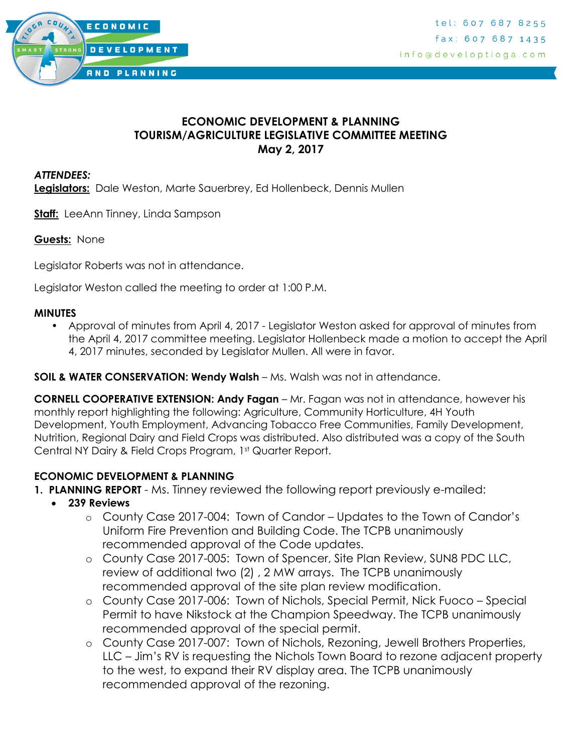

### **ECONOMIC DEVELOPMENT & PLANNING TOURISM/AGRICULTURE LEGISLATIVE COMMITTEE MEETING May 2, 2017**

#### *ATTENDEES:*

**Legislators:** Dale Weston, Marte Sauerbrey, Ed Hollenbeck, Dennis Mullen

**Staff:** LeeAnn Tinney, Linda Sampson

#### **Guests:** None

Legislator Roberts was not in attendance.

Legislator Weston called the meeting to order at 1:00 P.M.

#### **MINUTES**

• Approval of minutes from April 4, 2017 - Legislator Weston asked for approval of minutes from the April 4, 2017 committee meeting. Legislator Hollenbeck made a motion to accept the April 4, 2017 minutes, seconded by Legislator Mullen. All were in favor.

#### **SOIL & WATER CONSERVATION: Wendy Walsh** – Ms. Walsh was not in attendance.

**CORNELL COOPERATIVE EXTENSION: Andy Fagan** – Mr. Fagan was not in attendance, however his monthly report highlighting the following: Agriculture, Community Horticulture, 4H Youth Development, Youth Employment, Advancing Tobacco Free Communities, Family Development, Nutrition, Regional Dairy and Field Crops was distributed. Also distributed was a copy of the South Central NY Dairy & Field Crops Program, 1st Quarter Report.

#### **ECONOMIC DEVELOPMENT & PLANNING**

- **1. PLANNING REPORT** Ms. Tinney reviewed the following report previously e-mailed:
	- **239 Reviews**
		- o County Case 2017-004: Town of Candor Updates to the Town of Candor's Uniform Fire Prevention and Building Code. The TCPB unanimously recommended approval of the Code updates.
		- o County Case 2017-005: Town of Spencer, Site Plan Review, SUN8 PDC LLC, review of additional two (2) , 2 MW arrays. The TCPB unanimously recommended approval of the site plan review modification.
		- o County Case 2017-006: Town of Nichols, Special Permit, Nick Fuoco Special Permit to have Nikstock at the Champion Speedway. The TCPB unanimously recommended approval of the special permit.
		- o County Case 2017-007: Town of Nichols, Rezoning, Jewell Brothers Properties, LLC – Jim's RV is requesting the Nichols Town Board to rezone adjacent property to the west, to expand their RV display area. The TCPB unanimously recommended approval of the rezoning.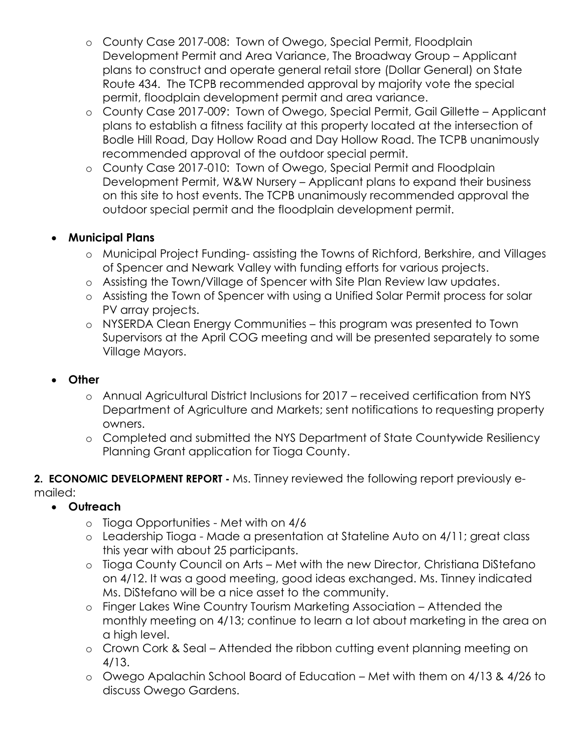- o County Case 2017-008: Town of Owego, Special Permit, Floodplain Development Permit and Area Variance, The Broadway Group – Applicant plans to construct and operate general retail store (Dollar General) on State Route 434. The TCPB recommended approval by majority vote the special permit, floodplain development permit and area variance.
- o County Case 2017-009: Town of Owego, Special Permit, Gail Gillette Applicant plans to establish a fitness facility at this property located at the intersection of Bodle Hill Road, Day Hollow Road and Day Hollow Road. The TCPB unanimously recommended approval of the outdoor special permit.
- o County Case 2017-010: Town of Owego, Special Permit and Floodplain Development Permit, W&W Nursery – Applicant plans to expand their business on this site to host events. The TCPB unanimously recommended approval the outdoor special permit and the floodplain development permit.

# **Municipal Plans**

- o Municipal Project Funding- assisting the Towns of Richford, Berkshire, and Villages of Spencer and Newark Valley with funding efforts for various projects.
- o Assisting the Town/Village of Spencer with Site Plan Review law updates.
- o Assisting the Town of Spencer with using a Unified Solar Permit process for solar PV array projects.
- o NYSERDA Clean Energy Communities this program was presented to Town Supervisors at the April COG meeting and will be presented separately to some Village Mayors.

### **Other**

- o Annual Agricultural District Inclusions for 2017 received certification from NYS Department of Agriculture and Markets; sent notifications to requesting property owners.
- o Completed and submitted the NYS Department of State Countywide Resiliency Planning Grant application for Tioga County.

**2. ECONOMIC DEVELOPMENT REPORT -** Ms. Tinney reviewed the following report previously emailed:

## **Outreach**

- o Tioga Opportunities Met with on 4/6
- o Leadership Tioga Made a presentation at Stateline Auto on 4/11; great class this year with about 25 participants.
- o Tioga County Council on Arts Met with the new Director, Christiana DiStefano on 4/12. It was a good meeting, good ideas exchanged. Ms. Tinney indicated Ms. DiStefano will be a nice asset to the community.
- o Finger Lakes Wine Country Tourism Marketing Association Attended the monthly meeting on 4/13; continue to learn a lot about marketing in the area on a high level.
- o Crown Cork & Seal Attended the ribbon cutting event planning meeting on 4/13.
- o Owego Apalachin School Board of Education Met with them on 4/13 & 4/26 to discuss Owego Gardens.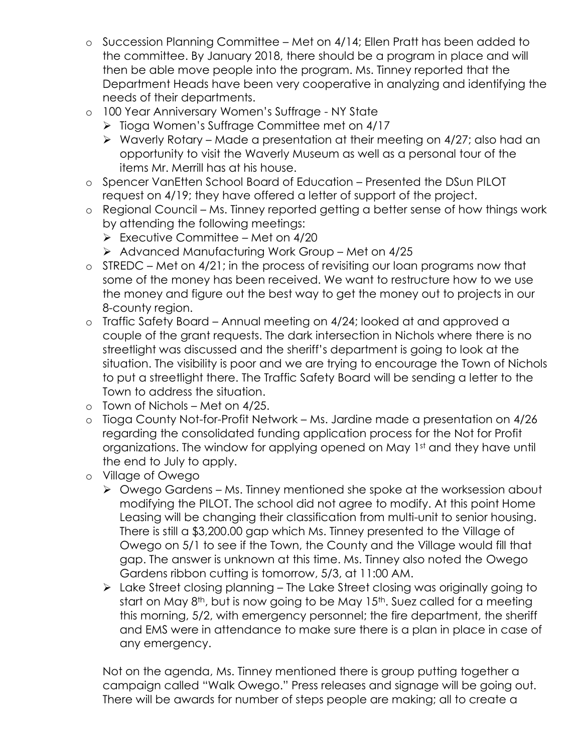- o Succession Planning Committee Met on 4/14; Ellen Pratt has been added to the committee. By January 2018, there should be a program in place and will then be able move people into the program. Ms. Tinney reported that the Department Heads have been very cooperative in analyzing and identifying the needs of their departments.
- o 100 Year Anniversary Women's Suffrage NY State
	- ▶ Tioga Women's Suffrage Committee met on 4/17
	- $\triangleright$  Waverly Rotary Made a presentation at their meeting on 4/27; also had an opportunity to visit the Waverly Museum as well as a personal tour of the items Mr. Merrill has at his house.
- o Spencer VanEtten School Board of Education Presented the DSun PILOT request on 4/19; they have offered a letter of support of the project.
- o Regional Council Ms. Tinney reported getting a better sense of how things work by attending the following meetings:
	- $\triangleright$  Executive Committee Met on 4/20
	- $\triangleright$  Advanced Manufacturing Work Group Met on 4/25
- o STREDC Met on 4/21; in the process of revisiting our loan programs now that some of the money has been received. We want to restructure how to we use the money and figure out the best way to get the money out to projects in our 8-county region.
- o Traffic Safety Board Annual meeting on 4/24; looked at and approved a couple of the grant requests. The dark intersection in Nichols where there is no streetlight was discussed and the sheriff's department is going to look at the situation. The visibility is poor and we are trying to encourage the Town of Nichols to put a streetlight there. The Traffic Safety Board will be sending a letter to the Town to address the situation.
- o Town of Nichols Met on 4/25.
- o Tioga County Not-for-Profit Network Ms. Jardine made a presentation on 4/26 regarding the consolidated funding application process for the Not for Profit organizations. The window for applying opened on May 1st and they have until the end to July to apply.
- o Village of Owego
	- $\triangleright$  Owego Gardens Ms. Tinney mentioned she spoke at the worksession about modifying the PILOT. The school did not agree to modify. At this point Home Leasing will be changing their classification from multi-unit to senior housing. There is still a \$3,200.00 gap which Ms. Tinney presented to the Village of Owego on 5/1 to see if the Town, the County and the Village would fill that gap. The answer is unknown at this time. Ms. Tinney also noted the Owego Gardens ribbon cutting is tomorrow, 5/3, at 11:00 AM.
	- ▶ Lake Street closing planning The Lake Street closing was originally going to start on May 8<sup>th</sup>, but is now going to be May 15<sup>th</sup>. Suez called for a meeting this morning, 5/2, with emergency personnel; the fire department, the sheriff and EMS were in attendance to make sure there is a plan in place in case of any emergency.

Not on the agenda, Ms. Tinney mentioned there is group putting together a campaign called "Walk Owego." Press releases and signage will be going out. There will be awards for number of steps people are making; all to create a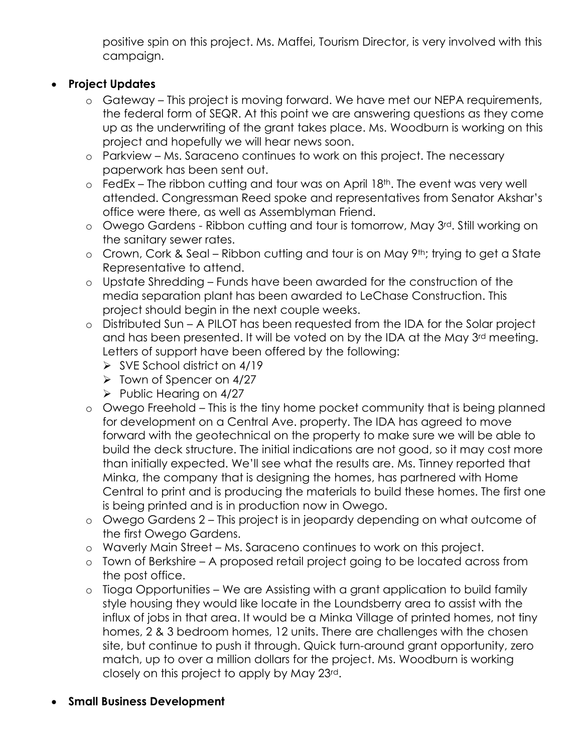positive spin on this project. Ms. Maffei, Tourism Director, is very involved with this campaign.

# **Project Updates**

- o Gateway This project is moving forward. We have met our NEPA requirements, the federal form of SEQR. At this point we are answering questions as they come up as the underwriting of the grant takes place. Ms. Woodburn is working on this project and hopefully we will hear news soon.
- o Parkview Ms. Saraceno continues to work on this project. The necessary paperwork has been sent out.
- $\circ$  FedEx The ribbon cutting and tour was on April 18<sup>th</sup>. The event was very well attended. Congressman Reed spoke and representatives from Senator Akshar's office were there, as well as Assemblyman Friend.
- o Owego Gardens Ribbon cutting and tour is tomorrow, May 3rd. Still working on the sanitary sewer rates.
- o Crown, Cork & Seal Ribbon cutting and tour is on May 9th; trying to get a State Representative to attend.
- o Upstate Shredding Funds have been awarded for the construction of the media separation plant has been awarded to LeChase Construction. This project should begin in the next couple weeks.
- o Distributed Sun A PILOT has been requested from the IDA for the Solar project and has been presented. It will be voted on by the IDA at the May 3rd meeting. Letters of support have been offered by the following:
	- $\triangleright$  SVE School district on 4/19
	- $\triangleright$  Town of Spencer on 4/27
	- $\triangleright$  Public Hearing on 4/27
- o Owego Freehold This is the tiny home pocket community that is being planned for development on a Central Ave. property. The IDA has agreed to move forward with the geotechnical on the property to make sure we will be able to build the deck structure. The initial indications are not good, so it may cost more than initially expected. We'll see what the results are. Ms. Tinney reported that Minka, the company that is designing the homes, has partnered with Home Central to print and is producing the materials to build these homes. The first one is being printed and is in production now in Owego.
- o Owego Gardens 2 This project is in jeopardy depending on what outcome of the first Owego Gardens.
- o Waverly Main Street Ms. Saraceno continues to work on this project.
- o Town of Berkshire A proposed retail project going to be located across from the post office.
- o Tioga Opportunities We are Assisting with a grant application to build family style housing they would like locate in the Loundsberry area to assist with the influx of jobs in that area. It would be a Minka Village of printed homes, not tiny homes, 2 & 3 bedroom homes, 12 units. There are challenges with the chosen site, but continue to push it through. Quick turn-around grant opportunity, zero match, up to over a million dollars for the project. Ms. Woodburn is working closely on this project to apply by May 23rd.
- **Small Business Development**